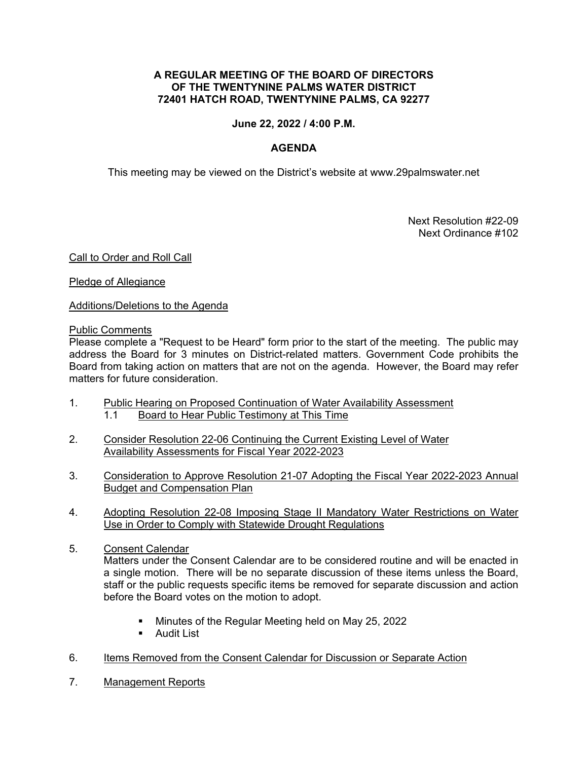### **A REGULAR MEETING OF THE BOARD OF DIRECTORS OF THE TWENTYNINE PALMS WATER DISTRICT 72401 HATCH ROAD, TWENTYNINE PALMS, CA 92277**

## **June 22, 2022 / 4:00 P.M.**

# **AGENDA**

This meeting may be viewed on the District's website at www.29palmswater.net

 Next Resolution #22-09 Next Ordinance #102

### Call to Order and Roll Call

Pledge of Allegiance

Additions/Deletions to the Agenda

#### Public Comments

Please complete a "Request to be Heard" form prior to the start of the meeting. The public may address the Board for 3 minutes on District-related matters. Government Code prohibits the Board from taking action on matters that are not on the agenda. However, the Board may refer matters for future consideration.

- 1. Public Hearing on Proposed Continuation of Water Availability Assessment 1.1 Board to Hear Public Testimony at This Time
- 2. Consider Resolution 22-06 Continuing the Current Existing Level of Water Availability Assessments for Fiscal Year 2022-2023
- 3. Consideration to Approve Resolution 21-07 Adopting the Fiscal Year 2022-2023 Annual Budget and Compensation Plan
- 4. Adopting Resolution 22-08 Imposing Stage II Mandatory Water Restrictions on Water Use in Order to Comply with Statewide Drought Regulations
- 5. Consent Calendar Matters under the Consent Calendar are to be considered routine and will be enacted in a single motion. There will be no separate discussion of these items unless the Board, staff or the public requests specific items be removed for separate discussion and action before the Board votes on the motion to adopt.
	- Minutes of the Regular Meeting held on May 25, 2022
	- **-** Audit List
- 6. Items Removed from the Consent Calendar for Discussion or Separate Action
- 7. Management Reports